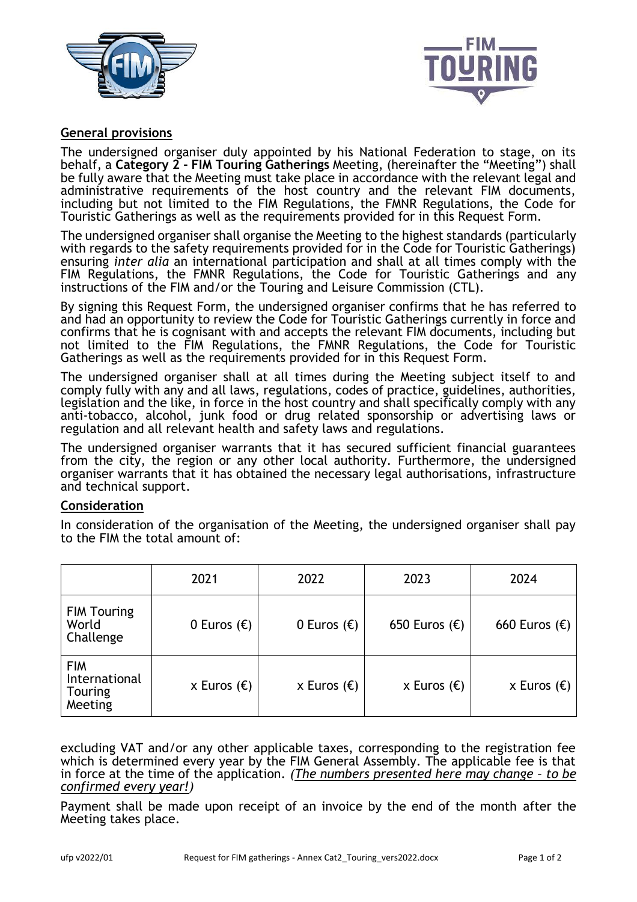



# **General provisions**

The undersigned organiser duly appointed by his National Federation to stage, on its behalf, a **Category 2 - FIM Touring Gatherings** Meeting, (hereinafter the "Meeting") shall be fully aware that the Meeting must take place in accordance with the relevant legal and administrative requirements of the host country and the relevant FIM documents, including but not limited to the FIM Regulations, the FMNR Regulations, the Code for Touristic Gatherings as well as the requirements provided for in this Request Form.

The undersigned organiser shall organise the Meeting to the highest standards (particularly with regards to the safety requirements provided for in the Code for Touristic Gatherings) ensuring *inter alia* an international participation and shall at all times comply with the FIM Regulations, the FMNR Regulations, the Code for Touristic Gatherings and any instructions of the FIM and/or the Touring and Leisure Commission (CTL).

By signing this Request Form, the undersigned organiser confirms that he has referred to and had an opportunity to review the Code for Touristic Gatherings currently in force and confirms that he is cognisant with and accepts the relevant FIM documents, including but not limited to the FIM Regulations, the FMNR Regulations, the Code for Touristic Gatherings as well as the requirements provided for in this Request Form.

The undersigned organiser shall at all times during the Meeting subject itself to and comply fully with any and all laws, regulations, codes of practice, guidelines, authorities, legislation and the like, in force in the host country and shall specifically comply with any anti-tobacco, alcohol, junk food or drug related sponsorship or advertising laws or regulation and all relevant health and safety laws and regulations.

The undersigned organiser warrants that it has secured sufficient financial guarantees from the city, the region or any other local authority. Furthermore, the undersigned organiser warrants that it has obtained the necessary legal authorisations, infrastructure and technical support.

## **Consideration**

In consideration of the organisation of the Meeting, the undersigned organiser shall pay to the FIM the total amount of:

|                                                          | 2021                 | 2022                 | 2023                   | 2024                   |
|----------------------------------------------------------|----------------------|----------------------|------------------------|------------------------|
| <b>FIM Touring</b><br>World<br>Challenge                 | 0 Euros $(\epsilon)$ | 0 Euros $(\epsilon)$ | 650 Euros $(\epsilon)$ | 660 Euros $(\epsilon)$ |
| <b>FIM</b><br>International<br><b>Touring</b><br>Meeting | x Euros $(\epsilon)$ | x Euros $(\epsilon)$ | x Euros $(\epsilon)$   | x Euros $(\epsilon)$   |

excluding VAT and/or any other applicable taxes, corresponding to the registration fee which is determined every year by the FIM General Assembly. The applicable fee is that in force at the time of the application. *(The numbers presented here may change – to be confirmed every year!)*

Payment shall be made upon receipt of an invoice by the end of the month after the Meeting takes place.